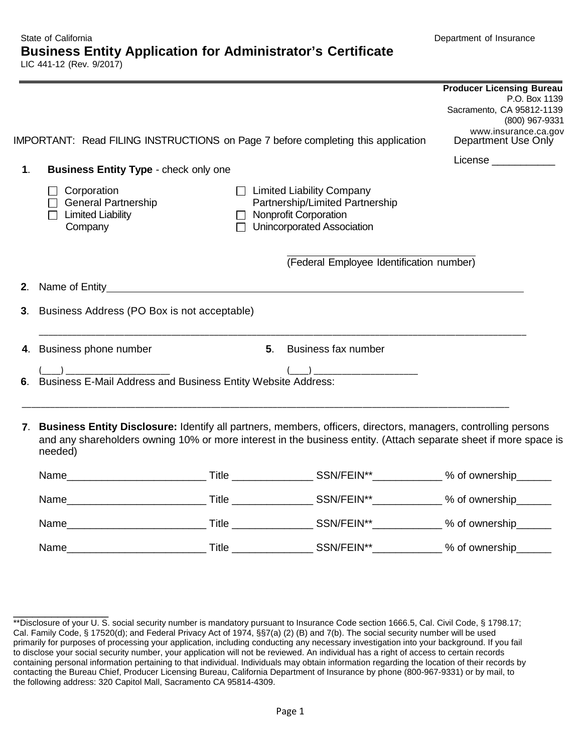|               |                                                                                                                                                                                                                                                  |                |                                                                                                                                     | <b>Producer Licensing Bureau</b><br>P.O. Box 1139<br>Sacramento, CA 95812-1139<br>(800) 967-9331 |  |  |
|---------------|--------------------------------------------------------------------------------------------------------------------------------------------------------------------------------------------------------------------------------------------------|----------------|-------------------------------------------------------------------------------------------------------------------------------------|--------------------------------------------------------------------------------------------------|--|--|
|               | IMPORTANT: Read FILING INSTRUCTIONS on Page 7 before completing this application                                                                                                                                                                 |                |                                                                                                                                     | www.insurance.ca.gov<br>Department Use Only                                                      |  |  |
| $\mathbf 1$ . | <b>Business Entity Type - check only one</b>                                                                                                                                                                                                     |                |                                                                                                                                     | License _____________                                                                            |  |  |
|               | Corporation<br>General Partnership<br><b>Limited Liability</b><br>Company                                                                                                                                                                        |                | $\Box$ Limited Liability Company<br>Partnership/Limited Partnership<br>$\Box$ Nonprofit Corporation<br>□ Unincorporated Association |                                                                                                  |  |  |
|               |                                                                                                                                                                                                                                                  |                | (Federal Employee Identification number)                                                                                            |                                                                                                  |  |  |
|               |                                                                                                                                                                                                                                                  |                |                                                                                                                                     |                                                                                                  |  |  |
|               | 3. Business Address (PO Box is not acceptable)                                                                                                                                                                                                   |                |                                                                                                                                     |                                                                                                  |  |  |
|               | 4. Business phone number                                                                                                                                                                                                                         | 5 <sub>1</sub> | Business fax number                                                                                                                 |                                                                                                  |  |  |
|               | $\left(\begin{array}{c} \begin{array}{c} \begin{array}{c} \end{array}\\ \end{array}\right) \end{array}$<br>(1.1)<br>6. Business E-Mail Address and Business Entity Website Address:                                                              |                |                                                                                                                                     |                                                                                                  |  |  |
|               | 7. Business Entity Disclosure: Identify all partners, members, officers, directors, managers, controlling persons<br>and any shareholders owning 10% or more interest in the business entity. (Attach separate sheet if more space is<br>needed) |                |                                                                                                                                     |                                                                                                  |  |  |
|               |                                                                                                                                                                                                                                                  |                |                                                                                                                                     |                                                                                                  |  |  |
|               |                                                                                                                                                                                                                                                  |                |                                                                                                                                     |                                                                                                  |  |  |
|               |                                                                                                                                                                                                                                                  |                |                                                                                                                                     |                                                                                                  |  |  |

 $\overline{\phantom{a}}$  , where  $\overline{\phantom{a}}$ 

Name\_\_\_\_\_\_\_\_\_\_\_\_\_\_\_\_\_\_\_\_\_\_\_\_ Title \_\_\_\_\_\_\_\_\_\_\_\_\_\_ SSN/FEIN\*\*\_\_\_\_\_\_\_\_\_\_\_\_ % of ownership\_\_\_\_\_\_

 \*\*Disclosure of your U. S. social security number is mandatory pursuant to Insurance Code section 1666.5, Cal. Civil Code, § 1798.17; to disclose your social security number, your application will not be reviewed. An individual has a right of access to certain records Cal. Family Code, § 17520(d); and Federal Privacy Act of 1974, §§7(a) (2) (B) and 7(b). The social security number will be used primarily for purposes of processing your application, including conducting any necessary investigation into your background. If you fail containing personal information pertaining to that individual. Individuals may obtain information regarding the location of their records by contacting the Bureau Chief, Producer Licensing Bureau, California Department of Insurance by phone (800-967-9331) or by mail, to the following address: 320 Capitol Mall, Sacramento CA 95814-4309.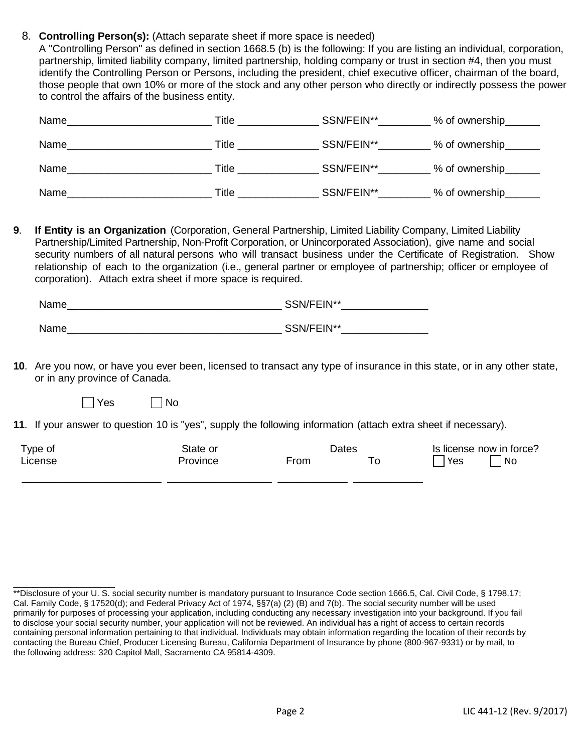8. **Controlling Person(s):** (Attach separate sheet if more space is needed)

 A "Controlling Person" as defined in section 1668.5 (b) is the following: If you are listing an individual, corporation, partnership, limited liability company, limited partnership, holding company or trust in section #4, then you must identify the Controlling Person or Persons, including the president, chief executive officer, chairman of the board, those people that own 10% or more of the stock and any other person who directly or indirectly possess the power to control the affairs of the business entity.

| Name | Гitle        | SSN/FEIN** | % of ownership |
|------|--------------|------------|----------------|
| Name | Γitle⊹       | SSN/FEIN** | % of ownership |
| Name | <b>Title</b> | SSN/FEIN** | % of ownership |
| Name | Title        | SSN/FEIN** | % of ownership |

 **9**. **If Entity is an Organization** (Corporation, General Partnership, Limited Liability Company, Limited Liability Partnership/Limited Partnership, Non-Profit Corporation, or Unincorporated Association), give name and social security numbers of all natural persons who will transact business under the Certificate of Registration. Show relationship of each to the organization (i.e., general partner or employee of partnership; officer or employee of corporation). Attach extra sheet if more space is required.

| Name | SSN/FEIN** |  |  |
|------|------------|--|--|
|      |            |  |  |
| Name | SSN/FEIN** |  |  |

**10**. Are you now, or have you ever been, licensed to transact any type of insurance in this state, or in any other state, or in any province of Canada.

 $\Box$  Yes  $\Box$ TNo

\_\_\_\_\_\_\_\_\_\_\_\_\_\_\_\_

**11**. If your answer to question 10 is "yes", supply the following information (attach extra sheet if necessary).

| Type of | State or<br>Dates |      | Is license now in force? |           |
|---------|-------------------|------|--------------------------|-----------|
| License | Province          | From | Yes                      | <b>No</b> |
|         |                   |      |                          |           |

 \*\*Disclosure of your U. S. social security number is mandatory pursuant to Insurance Code section 1666.5, Cal. Civil Code, § 1798.17; to disclose your social security number, your application will not be reviewed. An individual has a right of access to certain records Cal. Family Code, § 17520(d); and Federal Privacy Act of 1974, §§7(a) (2) (B) and 7(b). The social security number will be used primarily for purposes of processing your application, including conducting any necessary investigation into your background. If you fail containing personal information pertaining to that individual. Individuals may obtain information regarding the location of their records by contacting the Bureau Chief, Producer Licensing Bureau, California Department of Insurance by phone (800-967-9331) or by mail, to the following address: 320 Capitol Mall, Sacramento CA 95814-4309.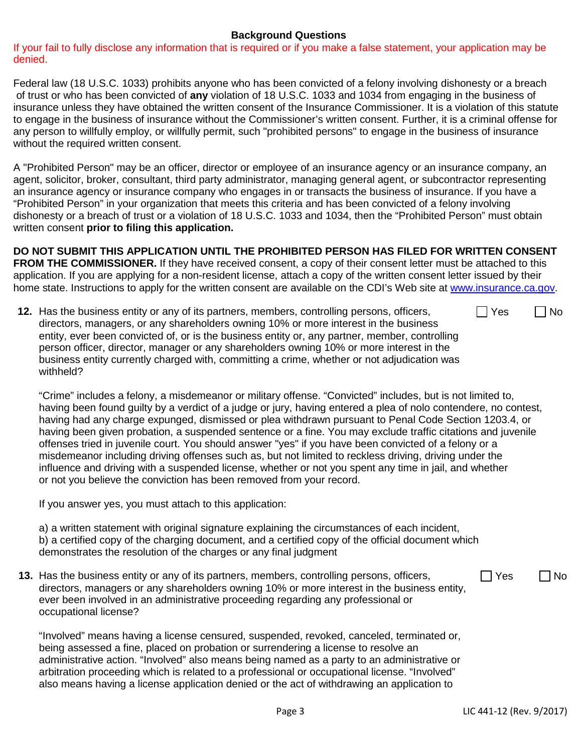## **Background Questions**

 If your fail to fully disclose any information that is required or if you make a false statement, your application may be denied.

Federal law (18 U.S.C. 1033) prohibits anyone who has been convicted of a felony involving dishonesty or a breach of trust or who has been convicted of **any** violation of 18 U.S.C. 1033 and 1034 from engaging in the business of insurance unless they have obtained the written consent of the Insurance Commissioner. It is a violation of this statute to engage in the business of insurance without the Commissioner's written consent. Further, it is a criminal offense for any person to willfully employ, or willfully permit, such "prohibited persons" to engage in the business of insurance without the required written consent.

 agent, solicitor, broker, consultant, third party administrator, managing general agent, or subcontractor representing A "Prohibited Person" may be an officer, director or employee of an insurance agency or an insurance company, an an insurance agency or insurance company who engages in or transacts the business of insurance. If you have a "Prohibited Person" in your organization that meets this criteria and has been convicted of a felony involving dishonesty or a breach of trust or a violation of 18 U.S.C. 1033 and 1034, then the "Prohibited Person" must obtain written consent **prior to filing this application.** 

 **FROM THE COMMISSIONER.** If they have received consent, a copy of their consent letter must be attached to this home state. Instructions to apply for the written consent are available on the CDI's Web site at www.insurance.ca.gov **DO NOT SUBMIT THIS APPLICATION UNTIL THE PROHIBITED PERSON HAS FILED FOR WRITTEN CONSENT**  application. If you are applying for a non-resident license, attach a copy of the written consent letter issued by their

**12.** Has the business entity or any of its partners, members, controlling persons, officers,  $\Box$  Yes  $\Box$  No directors, managers, or any shareholders owning 10% or more interest in the business entity, ever been convicted of, or is the business entity or, any partner, member, controlling person officer, director, manager or any shareholders owning 10% or more interest in the business entity currently charged with, committing a crime, whether or not adjudication was withheld?

 misdemeanor including driving offenses such as, but not limited to reckless driving, driving under the "Crime" includes a felony, a misdemeanor or military offense. "Convicted" includes, but is not limited to, having been found guilty by a verdict of a judge or jury, having entered a plea of nolo contendere, no contest, having had any charge expunged, dismissed or plea withdrawn pursuant to Penal Code Section 1203.4, or having been given probation, a suspended sentence or a fine. You may exclude traffic citations and juvenile offenses tried in juvenile court. You should answer "yes" if you have been convicted of a felony or a influence and driving with a suspended license, whether or not you spent any time in jail, and whether or not you believe the conviction has been removed from your record.

If you answer yes, you must attach to this application:

 demonstrates the resolution of the charges or any final judgment a) a written statement with original signature explaining the circumstances of each incident, b) a certified copy of the charging document, and a certified copy of the official document which

**13.** Has the business entity or any of its partners, members, controlling persons, officers,  $\Box$  Yes  $\Box$  No directors, managers or any shareholders owning 10% or more interest in the business entity,  $\Box$  Yes  $\Box$  No ever been involved in an administrative proceeding regarding any professional or occupational license?

"Involved" means having a license censured, suspended, revoked, canceled, terminated or, being assessed a fine, placed on probation or surrendering a license to resolve an administrative action. "Involved" also means being named as a party to an administrative or arbitration proceeding which is related to a professional or occupational license. "Involved" also means having a license application denied or the act of withdrawing an application to

 $\Box$  Yes  $\Box$  No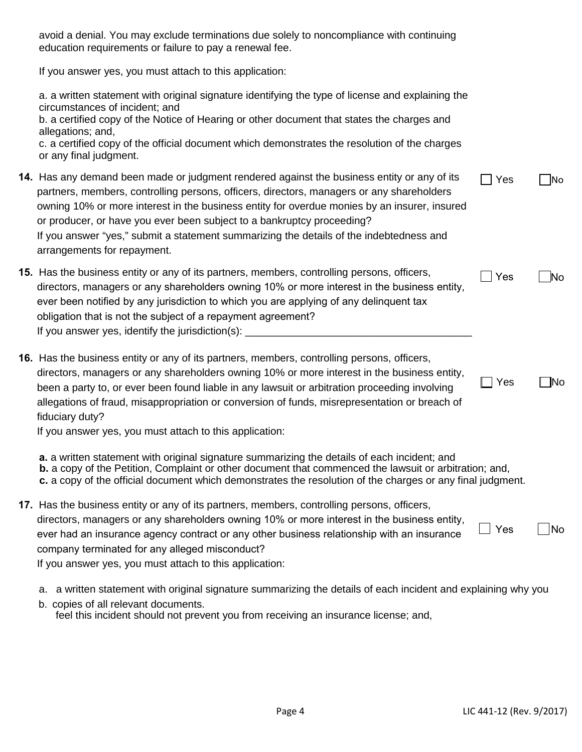| avoid a denial. You may exclude terminations due solely to noncompliance with continuing<br>education requirements or failure to pay a renewal fee.                                                                                                                                                                                                                                                                                                                                          |     |     |
|----------------------------------------------------------------------------------------------------------------------------------------------------------------------------------------------------------------------------------------------------------------------------------------------------------------------------------------------------------------------------------------------------------------------------------------------------------------------------------------------|-----|-----|
| If you answer yes, you must attach to this application:                                                                                                                                                                                                                                                                                                                                                                                                                                      |     |     |
| a. a written statement with original signature identifying the type of license and explaining the<br>circumstances of incident; and<br>b. a certified copy of the Notice of Hearing or other document that states the charges and<br>allegations; and,                                                                                                                                                                                                                                       |     |     |
| c. a certified copy of the official document which demonstrates the resolution of the charges<br>or any final judgment.                                                                                                                                                                                                                                                                                                                                                                      |     |     |
| 14. Has any demand been made or judgment rendered against the business entity or any of its<br>partners, members, controlling persons, officers, directors, managers or any shareholders<br>owning 10% or more interest in the business entity for overdue monies by an insurer, insured<br>or producer, or have you ever been subject to a bankruptcy proceeding?<br>If you answer "yes," submit a statement summarizing the details of the indebtedness and<br>arrangements for repayment. | Yes | No  |
| <b>15.</b> Has the business entity or any of its partners, members, controlling persons, officers,<br>directors, managers or any shareholders owning 10% or more interest in the business entity,<br>ever been notified by any jurisdiction to which you are applying of any delinquent tax<br>obligation that is not the subject of a repayment agreement?<br>If you answer yes, identify the jurisdiction(s):                                                                              | Yes | No  |
| 16. Has the business entity or any of its partners, members, controlling persons, officers,<br>directors, managers or any shareholders owning 10% or more interest in the business entity,<br>been a party to, or ever been found liable in any lawsuit or arbitration proceeding involving<br>allegations of fraud, misappropriation or conversion of funds, misrepresentation or breach of<br>fiduciary duty?<br>If you answer yes, you must attach to this application:                   | Yes | lNo |
| a. a written statement with original signature summarizing the details of each incident; and<br><b>b.</b> a copy of the Petition, Complaint or other document that commenced the lawsuit or arbitration; and,<br>c. a copy of the official document which demonstrates the resolution of the charges or any final judgment.                                                                                                                                                                  |     |     |
| 17. Has the business entity or any of its partners, members, controlling persons, officers,<br>directors, managers or any shareholders owning 10% or more interest in the business entity,<br>ever had an insurance agency contract or any other business relationship with an insurance<br>company terminated for any alleged misconduct?<br>If you answer yes, you must attach to this application:                                                                                        | Yes | No  |
|                                                                                                                                                                                                                                                                                                                                                                                                                                                                                              |     |     |

a. a written statement with original signature summarizing the details of each incident and explaining why you b. copies of all relevant documents. feel this incident should not prevent you from receiving an insurance license; and,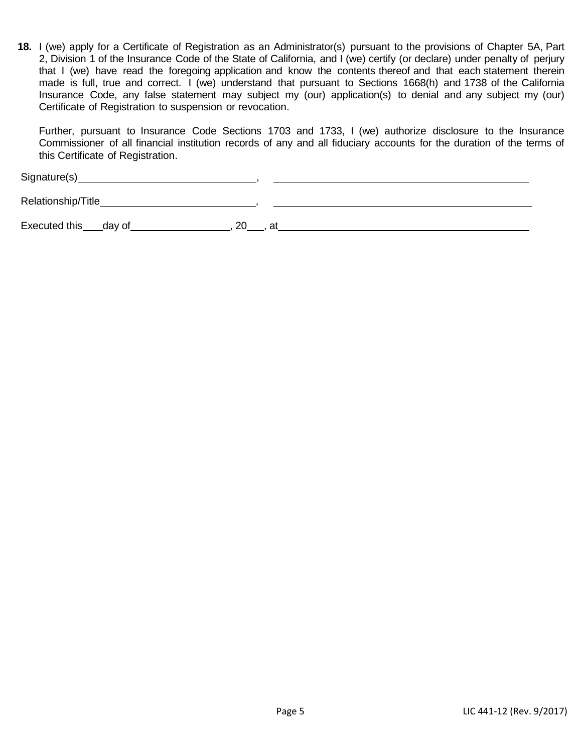**18.** I (we) apply for a Certificate of Registration as an Administrator(s) pursuant to the provisions of Chapter 5A, Part 2, Division 1 of the Insurance Code of the State of California, and I (we) certify (or declare) under penalty of perjury that I (we) have read the foregoing application and know the contents thereof and that each statement therein made is full, true and correct. I (we) understand that pursuant to Sections 1668(h) and 1738 of the California Insurance Code, any false statement may subject my (our) application(s) to denial and any subject my (our) Certificate of Registration to suspension or revocation.

 Further, pursuant to Insurance Code Sections 1703 and 1733, I (we) authorize disclosure to the Insurance Commissioner of all financial institution records of any and all fiduciary accounts for the duration of the terms of this Certificate of Registration.

Signature(s) ,

Relationship/Title **Contract Contract Contract Contract Contract Contract Contract Contract Contract Contract Contract Contract Contract Contract Contract Contract Contract Contract Contract Contract Contract Contract Cont** 

Executed this\_\_\_\_day of\_\_\_\_\_\_\_\_\_\_\_\_\_\_\_\_\_\_, 20\_\_\_, at\_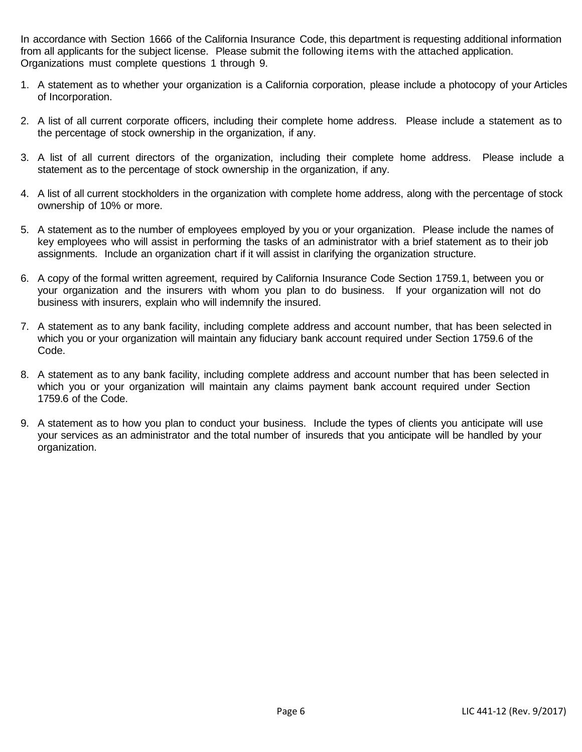In accordance with Section 1666 of the California Insurance Code, this department is requesting additional information from all applicants for the subject license. Please submit the following items with the attached application. Organizations must complete questions 1 through 9.

- 1. A statement as to whether your organization is a California corporation, please include a photocopy of your Articles of Incorporation.
- 2. A list of all current corporate officers, including their complete home address. Please include a statement as to the percentage of stock ownership in the organization, if any.
- 3. A list of all current directors of the organization, including their complete home address. Please include a statement as to the percentage of stock ownership in the organization, if any.
- 4. A list of all current stockholders in the organization with complete home address, along with the percentage of stock ownership of 10% or more.
- 5. A statement as to the number of employees employed by you or your organization. Please include the names of key employees who will assist in performing the tasks of an administrator with a brief statement as to their job assignments. Include an organization chart if it will assist in clarifying the organization structure.
- 6. A copy of the formal written agreement, required by California Insurance Code Section 1759.1, between you or your organization and the insurers with whom you plan to do business. If your organization will not do business with insurers, explain who will indemnify the insured.
- 7. A statement as to any bank facility, including complete address and account number, that has been selected in which you or your organization will maintain any fiduciary bank account required under Section 1759.6 of the Code.
- 8. A statement as to any bank facility, including complete address and account number that has been selected in which you or your organization will maintain any claims payment bank account required under Section 1759.6 of the Code.
- 9. A statement as to how you plan to conduct your business. Include the types of clients you anticipate will use your services as an administrator and the total number of insureds that you anticipate will be handled by your organization.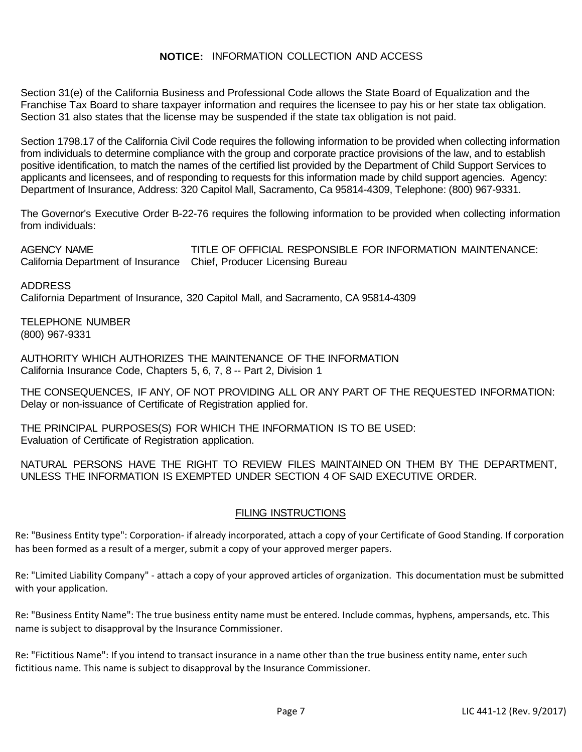## **NOTICE:** INFORMATION COLLECTION AND ACCESS

Section 31(e) of the California Business and Professional Code allows the State Board of Equalization and the Franchise Tax Board to share taxpayer information and requires the licensee to pay his or her state tax obligation. Section 31 also states that the license may be suspended if the state tax obligation is not paid.

 Section 1798.17 of the California Civil Code requires the following information to be provided when collecting information positive identification, to match the names of the certified list provided by the Department of Child Support Services to applicants and licensees, and of responding to requests for this information made by child support agencies. Agency: Department of Insurance, Address: 320 Capitol Mall, Sacramento, Ca 95814-4309, Telephone: (800) 967-9331. from individuals to determine compliance with the group and corporate practice provisions of the law, and to establish

 The Governor's Executive Order B-22-76 requires the following information to be provided when collecting information from individuals:

**AGENCY NAME**  California Department of Insurance Chief, Producer Licensing Bureau TITLE OF OFFICIAL RESPONSIBLE FOR INFORMATION MAINTENANCE:

 California Department of Insurance, 320 Capitol Mall, and Sacramento, CA 95814-4309 ADDRESS

 TELEPHONE NUMBER (800) 967-9331

 AUTHORITY WHICH AUTHORIZES THE MAINTENANCE OF THE INFORMATION California Insurance Code, Chapters 5, 6, 7, 8 -- Part 2, Division 1

 THE CONSEQUENCES, IF ANY, OF NOT PROVIDING ALL OR ANY PART OF THE REQUESTED INFORMATION: Delay or non-issuance of Certificate of Registration applied for.

 THE PRINCIPAL PURPOSES(S) FOR WHICH THE INFORMATION IS TO BE USED: Evaluation of Certificate of Registration application.

 NATURAL PERSONS HAVE THE RIGHT TO REVIEW FILES MAINTAINED ON THEM BY THE DEPARTMENT, UNLESS THE INFORMATION IS EXEMPTED UNDER SECTION 4 OF SAID EXECUTIVE ORDER.

## FILING INSTRUCTIONS

 has been formed as a result of a merger, submit a copy of your approved merger papers. Re: "Business Entity type": Corporation- if already incorporated, attach a copy of your Certificate of Good Standing. If corporation

with your application. Re: "Limited Liability Company" - attach a copy of your approved articles of organization. This documentation must be submitted

with your application.<br>Re: "Business Entity Name": The true business entity name must be entered. Include commas, hyphens, ampersands, etc. This name is subject to disapproval by the Insurance Commissioner.

fictitious name. This name is subject to disapproval by the Insurance Commissioner.<br>Page 7 **LIC 441-12 (Rev. 9/2017)** Re: "Fictitious Name": If you intend to transact insurance in a name other than the true business entity name, enter such